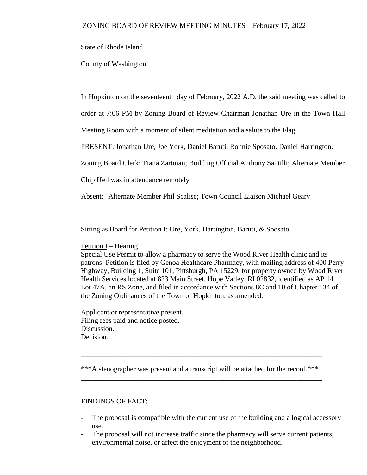State of Rhode Island

County of Washington

In Hopkinton on the seventeenth day of February, 2022 A.D. the said meeting was called to

order at 7:06 PM by Zoning Board of Review Chairman Jonathan Ure in the Town Hall

Meeting Room with a moment of silent meditation and a salute to the Flag.

PRESENT: Jonathan Ure, Joe York, Daniel Baruti, Ronnie Sposato, Daniel Harrington,

Zoning Board Clerk: Tiana Zartman; Building Official Anthony Santilli; Alternate Member

Chip Heil was in attendance remotely

Absent: Alternate Member Phil Scalise; Town Council Liaison Michael Geary

Sitting as Board for Petition I: Ure, York, Harrington, Baruti, & Sposato

Petition I – Hearing

Special Use Permit to allow a pharmacy to serve the Wood River Health clinic and its patrons. Petition is filed by Genoa Healthcare Pharmacy, with mailing address of 400 Perry Highway, Building 1, Suite 101, Pittsburgh, PA 15229, for property owned by Wood River Health Services located at 823 Main Street, Hope Valley, RI 02832, identified as AP 14 Lot 47A, an RS Zone, and filed in accordance with Sections 8C and 10 of Chapter 134 of the Zoning Ordinances of the Town of Hopkinton, as amended.

Applicant or representative present. Filing fees paid and notice posted. Discussion. Decision.

\*\*\*A stenographer was present and a transcript will be attached for the record.\*\*\* \_\_\_\_\_\_\_\_\_\_\_\_\_\_\_\_\_\_\_\_\_\_\_\_\_\_\_\_\_\_\_\_\_\_\_\_\_\_\_\_\_\_\_\_\_\_\_\_\_\_\_\_\_\_\_\_\_\_\_\_\_\_\_\_\_\_\_

\_\_\_\_\_\_\_\_\_\_\_\_\_\_\_\_\_\_\_\_\_\_\_\_\_\_\_\_\_\_\_\_\_\_\_\_\_\_\_\_\_\_\_\_\_\_\_\_\_\_\_\_\_\_\_\_\_\_\_\_\_\_\_\_\_\_\_

## FINDINGS OF FACT:

- The proposal is compatible with the current use of the building and a logical accessory use.
- The proposal will not increase traffic since the pharmacy will serve current patients, environmental noise, or affect the enjoyment of the neighborhood.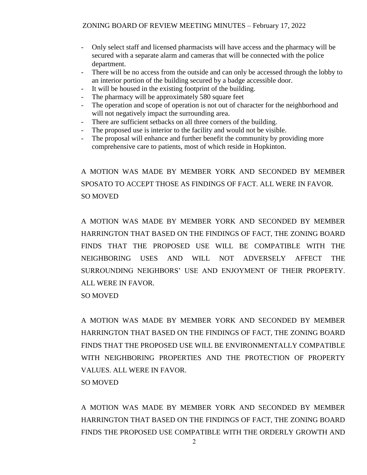- Only select staff and licensed pharmacists will have access and the pharmacy will be secured with a separate alarm and cameras that will be connected with the police department.
- There will be no access from the outside and can only be accessed through the lobby to an interior portion of the building secured by a badge accessible door.
- It will be housed in the existing footprint of the building.
- The pharmacy will be approximately 580 square feet
- The operation and scope of operation is not out of character for the neighborhood and will not negatively impact the surrounding area.
- There are sufficient setbacks on all three corners of the building.
- The proposed use is interior to the facility and would not be visible.
- The proposal will enhance and further benefit the community by providing more comprehensive care to patients, most of which reside in Hopkinton.

A MOTION WAS MADE BY MEMBER YORK AND SECONDED BY MEMBER SPOSATO TO ACCEPT THOSE AS FINDINGS OF FACT. ALL WERE IN FAVOR. SO MOVED

A MOTION WAS MADE BY MEMBER YORK AND SECONDED BY MEMBER HARRINGTON THAT BASED ON THE FINDINGS OF FACT, THE ZONING BOARD FINDS THAT THE PROPOSED USE WILL BE COMPATIBLE WITH THE NEIGHBORING USES AND WILL NOT ADVERSELY AFFECT THE SURROUNDING NEIGHBORS' USE AND ENJOYMENT OF THEIR PROPERTY. ALL WERE IN FAVOR.

SO MOVED

A MOTION WAS MADE BY MEMBER YORK AND SECONDED BY MEMBER HARRINGTON THAT BASED ON THE FINDINGS OF FACT, THE ZONING BOARD FINDS THAT THE PROPOSED USE WILL BE ENVIRONMENTALLY COMPATIBLE WITH NEIGHBORING PROPERTIES AND THE PROTECTION OF PROPERTY VALUES. ALL WERE IN FAVOR. SO MOVED

A MOTION WAS MADE BY MEMBER YORK AND SECONDED BY MEMBER HARRINGTON THAT BASED ON THE FINDINGS OF FACT, THE ZONING BOARD FINDS THE PROPOSED USE COMPATIBLE WITH THE ORDERLY GROWTH AND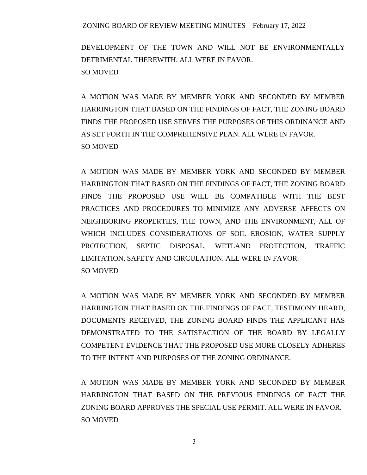DEVELOPMENT OF THE TOWN AND WILL NOT BE ENVIRONMENTALLY DETRIMENTAL THEREWITH. ALL WERE IN FAVOR. SO MOVED

A MOTION WAS MADE BY MEMBER YORK AND SECONDED BY MEMBER HARRINGTON THAT BASED ON THE FINDINGS OF FACT, THE ZONING BOARD FINDS THE PROPOSED USE SERVES THE PURPOSES OF THIS ORDINANCE AND AS SET FORTH IN THE COMPREHENSIVE PLAN. ALL WERE IN FAVOR. SO MOVED

A MOTION WAS MADE BY MEMBER YORK AND SECONDED BY MEMBER HARRINGTON THAT BASED ON THE FINDINGS OF FACT, THE ZONING BOARD FINDS THE PROPOSED USE WILL BE COMPATIBLE WITH THE BEST PRACTICES AND PROCEDURES TO MINIMIZE ANY ADVERSE AFFECTS ON NEIGHBORING PROPERTIES, THE TOWN, AND THE ENVIRONMENT, ALL OF WHICH INCLUDES CONSIDERATIONS OF SOIL EROSION, WATER SUPPLY PROTECTION, SEPTIC DISPOSAL, WETLAND PROTECTION, TRAFFIC LIMITATION, SAFETY AND CIRCULATION. ALL WERE IN FAVOR. SO MOVED

A MOTION WAS MADE BY MEMBER YORK AND SECONDED BY MEMBER HARRINGTON THAT BASED ON THE FINDINGS OF FACT, TESTIMONY HEARD, DOCUMENTS RECEIVED, THE ZONING BOARD FINDS THE APPLICANT HAS DEMONSTRATED TO THE SATISFACTION OF THE BOARD BY LEGALLY COMPETENT EVIDENCE THAT THE PROPOSED USE MORE CLOSELY ADHERES TO THE INTENT AND PURPOSES OF THE ZONING ORDINANCE.

A MOTION WAS MADE BY MEMBER YORK AND SECONDED BY MEMBER HARRINGTON THAT BASED ON THE PREVIOUS FINDINGS OF FACT THE ZONING BOARD APPROVES THE SPECIAL USE PERMIT. ALL WERE IN FAVOR. SO MOVED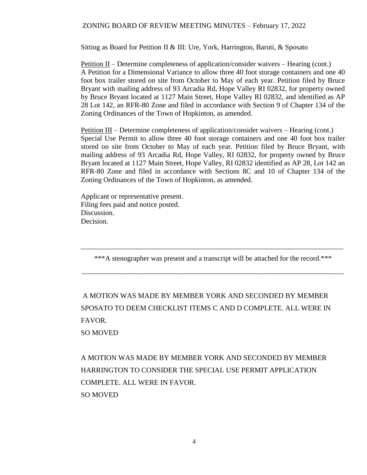Sitting as Board for Petition II & III: Ure, York, Harrington, Baruti, & Sposato

Petition II – Determine completeness of application/consider waivers – Hearing (cont.) A Petition for a Dimensional Variance to allow three 40 foot storage containers and one 40 foot box trailer stored on site from October to May of each year. Petition filed by Bruce Bryant with mailing address of 93 Arcadia Rd, Hope Valley RI 02832, for property owned by Bruce Bryant located at 1127 Main Street, Hope Valley RI 02832, and identified as AP 28 Lot 142, an RFR-80 Zone and filed in accordance with Section 9 of Chapter 134 of the Zoning Ordinances of the Town of Hopkinton, as amended.

Petition III – Determine completeness of application/consider waivers – Hearing (cont.) Special Use Permit to allow three 40 foot storage containers and one 40 foot box trailer stored on site from October to May of each year. Petition filed by Bruce Bryant, with mailing address of 93 Arcadia Rd, Hope Valley, RI 02832, for property owned by Bruce Bryant located at 1127 Main Street, Hope Valley, RI 02832 identified as AP 28, Lot 142 an RFR-80 Zone and filed in accordance with Sections 8C and 10 of Chapter 134 of the Zoning Ordinances of the Town of Hopkinton, as amended.

Applicant or representative present. Filing fees paid and notice posted. Discussion. Decision.

\*\*\*A stenographer was present and a transcript will be attached for the record.\*\*\*

\_\_\_\_\_\_\_\_\_\_\_\_\_\_\_\_\_\_\_\_\_\_\_\_\_\_\_\_\_\_\_\_\_\_\_\_\_\_\_\_\_\_\_\_\_\_\_\_\_\_\_\_\_\_\_\_\_\_\_\_\_\_\_\_\_\_\_\_\_\_\_\_\_

\_\_\_\_\_\_\_\_\_\_\_\_\_\_\_\_\_\_\_\_\_\_\_\_\_\_\_\_\_\_\_\_\_\_\_\_\_\_\_\_\_\_\_\_\_\_\_\_\_\_\_\_\_\_\_\_\_\_\_\_\_\_\_\_\_\_\_\_\_\_\_\_\_

A MOTION WAS MADE BY MEMBER YORK AND SECONDED BY MEMBER SPOSATO TO DEEM CHECKLIST ITEMS C AND D COMPLETE. ALL WERE IN FAVOR.

SO MOVED

A MOTION WAS MADE BY MEMBER YORK AND SECONDED BY MEMBER HARRINGTON TO CONSIDER THE SPECIAL USE PERMIT APPLICATION COMPLETE. ALL WERE IN FAVOR. SO MOVED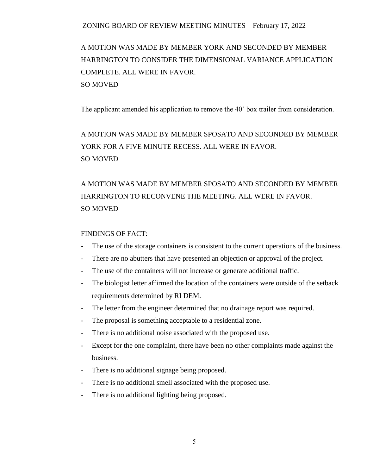A MOTION WAS MADE BY MEMBER YORK AND SECONDED BY MEMBER HARRINGTON TO CONSIDER THE DIMENSIONAL VARIANCE APPLICATION COMPLETE. ALL WERE IN FAVOR. SO MOVED

The applicant amended his application to remove the 40' box trailer from consideration.

A MOTION WAS MADE BY MEMBER SPOSATO AND SECONDED BY MEMBER YORK FOR A FIVE MINUTE RECESS. ALL WERE IN FAVOR. SO MOVED

## A MOTION WAS MADE BY MEMBER SPOSATO AND SECONDED BY MEMBER HARRINGTON TO RECONVENE THE MEETING. ALL WERE IN FAVOR. SO MOVED

#### FINDINGS OF FACT:

- The use of the storage containers is consistent to the current operations of the business.
- There are no abutters that have presented an objection or approval of the project.
- The use of the containers will not increase or generate additional traffic.
- The biologist letter affirmed the location of the containers were outside of the setback requirements determined by RI DEM.
- The letter from the engineer determined that no drainage report was required.
- The proposal is something acceptable to a residential zone.
- There is no additional noise associated with the proposed use.
- Except for the one complaint, there have been no other complaints made against the business.
- There is no additional signage being proposed.
- There is no additional smell associated with the proposed use.
- There is no additional lighting being proposed.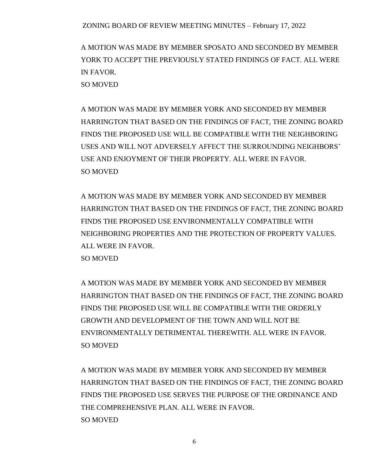A MOTION WAS MADE BY MEMBER SPOSATO AND SECONDED BY MEMBER YORK TO ACCEPT THE PREVIOUSLY STATED FINDINGS OF FACT. ALL WERE IN FAVOR. SO MOVED

A MOTION WAS MADE BY MEMBER YORK AND SECONDED BY MEMBER HARRINGTON THAT BASED ON THE FINDINGS OF FACT, THE ZONING BOARD FINDS THE PROPOSED USE WILL BE COMPATIBLE WITH THE NEIGHBORING USES AND WILL NOT ADVERSELY AFFECT THE SURROUNDING NEIGHBORS' USE AND ENJOYMENT OF THEIR PROPERTY. ALL WERE IN FAVOR. SO MOVED

A MOTION WAS MADE BY MEMBER YORK AND SECONDED BY MEMBER HARRINGTON THAT BASED ON THE FINDINGS OF FACT, THE ZONING BOARD FINDS THE PROPOSED USE ENVIRONMENTALLY COMPATIBLE WITH NEIGHBORING PROPERTIES AND THE PROTECTION OF PROPERTY VALUES. ALL WERE IN FAVOR.

SO MOVED

A MOTION WAS MADE BY MEMBER YORK AND SECONDED BY MEMBER HARRINGTON THAT BASED ON THE FINDINGS OF FACT, THE ZONING BOARD FINDS THE PROPOSED USE WILL BE COMPATIBLE WITH THE ORDERLY GROWTH AND DEVELOPMENT OF THE TOWN AND WILL NOT BE ENVIRONMENTALLY DETRIMENTAL THEREWITH. ALL WERE IN FAVOR. SO MOVED

A MOTION WAS MADE BY MEMBER YORK AND SECONDED BY MEMBER HARRINGTON THAT BASED ON THE FINDINGS OF FACT, THE ZONING BOARD FINDS THE PROPOSED USE SERVES THE PURPOSE OF THE ORDINANCE AND THE COMPREHENSIVE PLAN. ALL WERE IN FAVOR. SO MOVED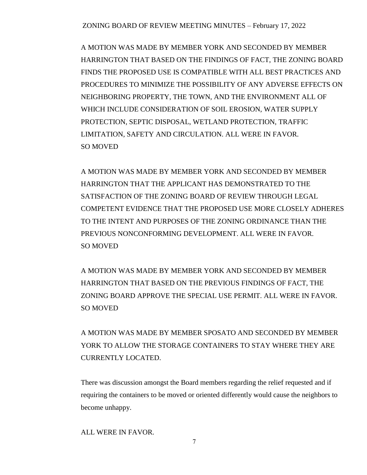A MOTION WAS MADE BY MEMBER YORK AND SECONDED BY MEMBER HARRINGTON THAT BASED ON THE FINDINGS OF FACT, THE ZONING BOARD FINDS THE PROPOSED USE IS COMPATIBLE WITH ALL BEST PRACTICES AND PROCEDURES TO MINIMIZE THE POSSIBILITY OF ANY ADVERSE EFFECTS ON NEIGHBORING PROPERTY, THE TOWN, AND THE ENVIRONMENT ALL OF WHICH INCLUDE CONSIDERATION OF SOIL EROSION, WATER SUPPLY PROTECTION, SEPTIC DISPOSAL, WETLAND PROTECTION, TRAFFIC LIMITATION, SAFETY AND CIRCULATION. ALL WERE IN FAVOR. SO MOVED

A MOTION WAS MADE BY MEMBER YORK AND SECONDED BY MEMBER HARRINGTON THAT THE APPLICANT HAS DEMONSTRATED TO THE SATISFACTION OF THE ZONING BOARD OF REVIEW THROUGH LEGAL COMPETENT EVIDENCE THAT THE PROPOSED USE MORE CLOSELY ADHERES TO THE INTENT AND PURPOSES OF THE ZONING ORDINANCE THAN THE PREVIOUS NONCONFORMING DEVELOPMENT. ALL WERE IN FAVOR. SO MOVED

A MOTION WAS MADE BY MEMBER YORK AND SECONDED BY MEMBER HARRINGTON THAT BASED ON THE PREVIOUS FINDINGS OF FACT, THE ZONING BOARD APPROVE THE SPECIAL USE PERMIT. ALL WERE IN FAVOR. SO MOVED

A MOTION WAS MADE BY MEMBER SPOSATO AND SECONDED BY MEMBER YORK TO ALLOW THE STORAGE CONTAINERS TO STAY WHERE THEY ARE CURRENTLY LOCATED.

There was discussion amongst the Board members regarding the relief requested and if requiring the containers to be moved or oriented differently would cause the neighbors to become unhappy.

ALL WERE IN FAVOR.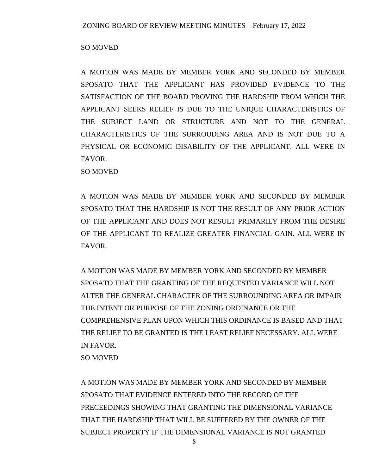## SO MOVED

A MOTION WAS MADE BY MEMBER YORK AND SECONDED BY MEMBER SPOSATO THAT THE APPLICANT HAS PROVIDED EVIDENCE TO THE SATISFACTION OF THE BOARD PROVING THE HARDSHIP FROM WHICH THE APPLICANT SEEKS RELIEF IS DUE TO THE UNIQUE CHARACTERISTICS OF THE SUBJECT LAND OR STRUCTURE AND NOT TO THE GENERAL CHARACTERISTICS OF THE SURROUDING AREA AND IS NOT DUE TO A PHYSICAL OR ECONOMIC DISABILITY OF THE APPLICANT. ALL WERE IN FAVOR.

SO MOVED

A MOTION WAS MADE BY MEMBER YORK AND SECONDED BY MEMBER SPOSATO THAT THE HARDSHIP IS NOT THE RESULT OF ANY PRIOR ACTION OF THE APPLICANT AND DOES NOT RESULT PRIMARILY FROM THE DESIRE OF THE APPLICANT TO REALIZE GREATER FINANCIAL GAIN. ALL WERE IN FAVOR.

A MOTION WAS MADE BY MEMBER YORK AND SECONDED BY MEMBER SPOSATO THAT THE GRANTING OF THE REQUESTED VARIANCE WILL NOT ALTER THE GENERAL CHARACTER OF THE SURROUNDING AREA OR IMPAIR THE INTENT OR PURPOSE OF THE ZONING ORDINANCE OR THE COMPREHENSIVE PLAN UPON WHICH THIS ORDINANCE IS BASED AND THAT THE RELIEF TO BE GRANTED IS THE LEAST RELIEF NECESSARY. ALL WERE IN FAVOR. SO MOVED

A MOTION WAS MADE BY MEMBER YORK AND SECONDED BY MEMBER SPOSATO THAT EVIDENCE ENTERED INTO THE RECORD OF THE PRECEEDINGS SHOWING THAT GRANTING THE DIMENSIONAL VARIANCE THAT THE HARDSHIP THAT WILL BE SUFFERED BY THE OWNER OF THE SUBJECT PROPERTY IF THE DIMENSIONAL VARIANCE IS NOT GRANTED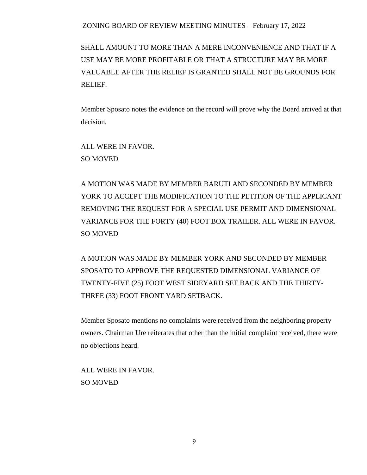SHALL AMOUNT TO MORE THAN A MERE INCONVENIENCE AND THAT IF A USE MAY BE MORE PROFITABLE OR THAT A STRUCTURE MAY BE MORE VALUABLE AFTER THE RELIEF IS GRANTED SHALL NOT BE GROUNDS FOR RELIEF.

Member Sposato notes the evidence on the record will prove why the Board arrived at that decision.

ALL WERE IN FAVOR. SO MOVED

A MOTION WAS MADE BY MEMBER BARUTI AND SECONDED BY MEMBER YORK TO ACCEPT THE MODIFICATION TO THE PETITION OF THE APPLICANT REMOVING THE REQUEST FOR A SPECIAL USE PERMIT AND DIMENSIONAL VARIANCE FOR THE FORTY (40) FOOT BOX TRAILER. ALL WERE IN FAVOR. SO MOVED

A MOTION WAS MADE BY MEMBER YORK AND SECONDED BY MEMBER SPOSATO TO APPROVE THE REQUESTED DIMENSIONAL VARIANCE OF TWENTY-FIVE (25) FOOT WEST SIDEYARD SET BACK AND THE THIRTY-THREE (33) FOOT FRONT YARD SETBACK.

Member Sposato mentions no complaints were received from the neighboring property owners. Chairman Ure reiterates that other than the initial complaint received, there were no objections heard.

ALL WERE IN FAVOR. SO MOVED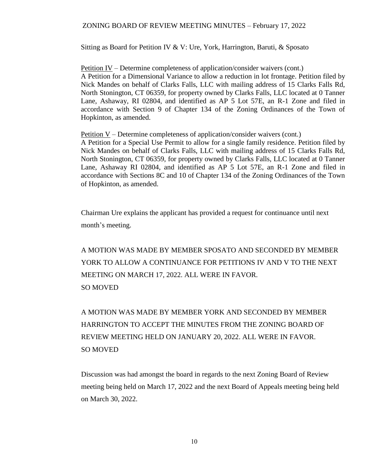Sitting as Board for Petition IV & V: Ure, York, Harrington, Baruti, & Sposato

Petition IV – Determine completeness of application/consider waivers (cont.) A Petition for a Dimensional Variance to allow a reduction in lot frontage. Petition filed by Nick Mandes on behalf of Clarks Falls, LLC with mailing address of 15 Clarks Falls Rd, North Stonington, CT 06359, for property owned by Clarks Falls, LLC located at 0 Tanner Lane, Ashaway, RI 02804, and identified as AP 5 Lot 57E, an R-1 Zone and filed in accordance with Section 9 of Chapter 134 of the Zoning Ordinances of the Town of Hopkinton, as amended.

Petition V – Determine completeness of application/consider waivers (cont.) A Petition for a Special Use Permit to allow for a single family residence. Petition filed by Nick Mandes on behalf of Clarks Falls, LLC with mailing address of 15 Clarks Falls Rd, North Stonington, CT 06359, for property owned by Clarks Falls, LLC located at 0 Tanner Lane, Ashaway RI 02804, and identified as AP 5 Lot 57E, an R-1 Zone and filed in accordance with Sections 8C and 10 of Chapter 134 of the Zoning Ordinances of the Town of Hopkinton, as amended.

Chairman Ure explains the applicant has provided a request for continuance until next month's meeting.

A MOTION WAS MADE BY MEMBER SPOSATO AND SECONDED BY MEMBER YORK TO ALLOW A CONTINUANCE FOR PETITIONS IV AND V TO THE NEXT MEETING ON MARCH 17, 2022. ALL WERE IN FAVOR. SO MOVED

A MOTION WAS MADE BY MEMBER YORK AND SECONDED BY MEMBER HARRINGTON TO ACCEPT THE MINUTES FROM THE ZONING BOARD OF REVIEW MEETING HELD ON JANUARY 20, 2022. ALL WERE IN FAVOR. SO MOVED

Discussion was had amongst the board in regards to the next Zoning Board of Review meeting being held on March 17, 2022 and the next Board of Appeals meeting being held on March 30, 2022.